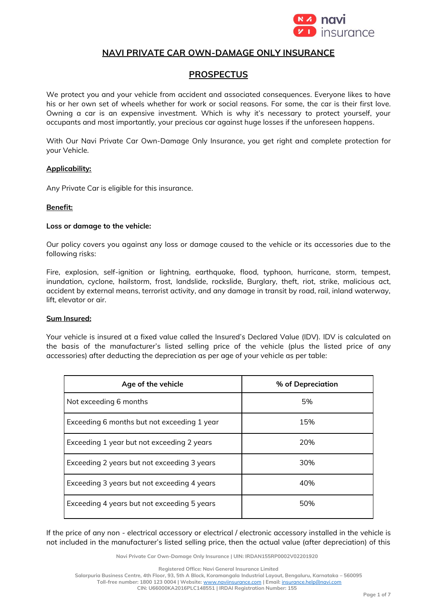

# **NAVI PRIVATE CAR OWN-DAMAGE ONLY INSURANCE**

# **PROSPECTUS**

We protect you and your vehicle from accident and associated consequences. Everyone likes to have his or her own set of wheels whether for work or social reasons. For some, the car is their first love. Owning a car is an expensive investment. Which is why it's necessary to protect yourself, your occupants and most importantly, your precious car against huge losses if the unforeseen happens.

With Our Navi Private Car Own-Damage Only Insurance, you get right and complete protection for your Vehicle.

#### **Applicability:**

Any Private Car is eligible for this insurance.

#### **Benefit:**

#### **Loss or damage to the vehicle:**

Our policy covers you against any loss or damage caused to the vehicle or its accessories due to the following risks:

Fire, explosion, self-ignition or lightning, earthquake, flood, typhoon, hurricane, storm, tempest, inundation, cyclone, hailstorm, frost, landslide, rockslide, Burglary, theft, riot, strike, malicious act, accident by external means, terrorist activity, and any damage in transit by road, rail, inland waterway, lift, elevator or air.

## **Sum Insured:**

Your vehicle is insured at a fixed value called the Insured's Declared Value (IDV). IDV is calculated on the basis of the manufacturer's listed selling price of the vehicle (plus the listed price of any accessories) after deducting the depreciation as per age of your vehicle as per table:

| Age of the vehicle                          | % of Depreciation |
|---------------------------------------------|-------------------|
| Not exceeding 6 months                      | 5%                |
| Exceeding 6 months but not exceeding 1 year | 15%               |
| Exceeding 1 year but not exceeding 2 years  | 20%               |
| Exceeding 2 years but not exceeding 3 years | 30%               |
| Exceeding 3 years but not exceeding 4 years | 40%               |
| Exceeding 4 years but not exceeding 5 years | 50%               |

If the price of any non - electrical accessory or electrical / electronic accessory installed in the vehicle is not included in the manufacturer's listed selling price, then the actual value (after depreciation) of this

**Navi Private Car Own-Damage Only Insurance | UIN: IRDAN155RP0002V02201920**

**Registered Office: Navi General Insurance Limited**

**Salarpuria Business Centre, 4th Floor, 93, 5th A Block, Koramangala Industrial Layout, Bengaluru, Karnataka – 560095**

**Toll-free number: 1800 123 0004 | Website:** [www.naviinsurance.com](http://www.naviinsurance.com/) **| Email:** [insurance.help@navi.com](mailto:insurance.help@navi.com) **CIN: U66000KA2016PLC148551 | IRDAI Registration Number: 155**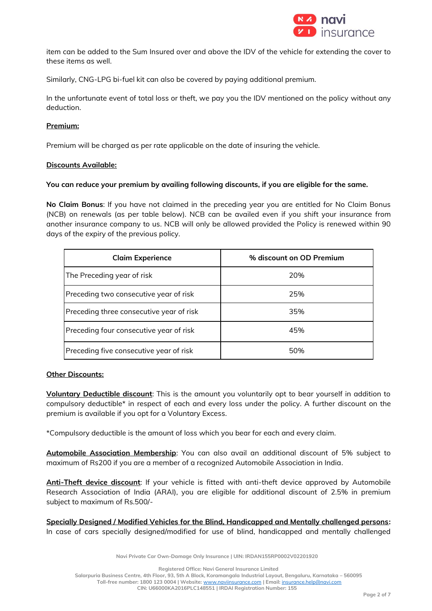

item can be added to the Sum Insured over and above the IDV of the vehicle for extending the cover to these items as well.

Similarly, CNG-LPG bi-fuel kit can also be covered by paying additional premium.

In the unfortunate event of total loss or theft, we pay you the IDV mentioned on the policy without any deduction.

### **Premium:**

Premium will be charged as per rate applicable on the date of insuring the vehicle.

#### **Discounts Available:**

#### **You can reduce your premium by availing following discounts, if you are eligible for the same.**

**No Claim Bonus**: If you have not claimed in the preceding year you are entitled for No Claim Bonus (NCB) on renewals (as per table below). NCB can be availed even if you shift your insurance from another insurance company to us. NCB will only be allowed provided the Policy is renewed within 90 days of the expiry of the previous policy.

| <b>Claim Experience</b>                  | % discount on OD Premium |
|------------------------------------------|--------------------------|
| The Preceding year of risk               | 20%                      |
| Preceding two consecutive year of risk   | 25%                      |
| Preceding three consecutive year of risk | 35%                      |
| Preceding four consecutive year of risk  | 45%                      |
| Preceding five consecutive year of risk  | 50%                      |

#### **Other Discounts:**

**Voluntary Deductible discount**: This is the amount you voluntarily opt to bear yourself in addition to compulsory deductible\* in respect of each and every loss under the policy. A further discount on the premium is available if you opt for a Voluntary Excess.

\*Compulsory deductible is the amount of loss which you bear for each and every claim.

**Automobile Association Membership**: You can also avail an additional discount of 5% subject to maximum of Rs200 if you are a member of a recognized Automobile Association in India.

**Anti-Theft device discount**: If your vehicle is fitted with anti-theft device approved by Automobile Research Association of India (ARAI), you are eligible for additional discount of 2.5% in premium subject to maximum of Rs.500/-

**Specially Designed / Modified Vehicles for the Blind, Handicapped and Mentally challenged persons:**  In case of cars specially designed/modified for use of blind, handicapped and mentally challenged

**Navi Private Car Own-Damage Only Insurance | UIN: IRDAN155RP0002V02201920**

**Registered Office: Navi General Insurance Limited**

**Salarpuria Business Centre, 4th Floor, 93, 5th A Block, Koramangala Industrial Layout, Bengaluru, Karnataka – 560095 Toll-free number: 1800 123 0004 | Website:** [www.naviinsurance.com](http://www.naviinsurance.com/) **| Email:** [insurance.help@navi.com](mailto:insurance.help@navi.com) **CIN: U66000KA2016PLC148551 | IRDAI Registration Number: 155**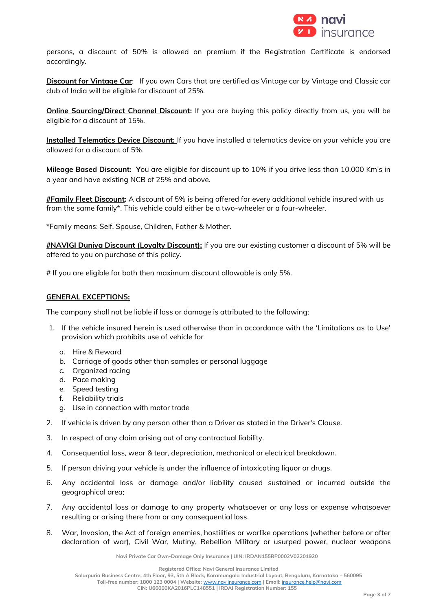

persons, a discount of 50% is allowed on premium if the Registration Certificate is endorsed accordingly.

**Discount for Vintage Car**: If you own Cars that are certified as Vintage car by Vintage and Classic car club of India will be eligible for discount of 25%.

**Online Sourcing/Direct Channel Discount:** If you are buying this policy directly from us, you will be eligible for a discount of 15%.

**Installed Telematics Device Discount:** If you have installed a telematics device on your vehicle you are allowed for a discount of 5%.

**Mileage Based Discount: Y**ou are eligible for discount up to 10% if you drive less than 10,000 Km's in a year and have existing NCB of 25% and above.

**#Family Fleet Discount:** A discount of 5% is being offered for every additional vehicle insured with us from the same family\*. This vehicle could either be a two-wheeler or a four-wheeler.

\*Family means: Self, Spouse, Children, Father & Mother.

**#NAVIGI Duniya Discount (Loyalty Discount):** If you are our existing customer a discount of 5% will be offered to you on purchase of this policy.

# If you are eligible for both then maximum discount allowable is only 5%.

#### **GENERAL EXCEPTIONS:**

The company shall not be liable if loss or damage is attributed to the following;

- 1. If the vehicle insured herein is used otherwise than in accordance with the 'Limitations as to Use' provision which prohibits use of vehicle for
	- a. Hire & Reward
	- b. Carriage of goods other than samples or personal luggage
	- c. Organized racing
	- d. Pace making
	- e. Speed testing
	- f. Reliability trials
	- g. Use in connection with motor trade
- 2. If vehicle is driven by any person other than a Driver as stated in the Driver's Clause.
- 3. In respect of any claim arising out of any contractual liability.
- 4. Consequential loss, wear & tear, depreciation, mechanical or electrical breakdown.
- 5. If person driving your vehicle is under the influence of intoxicating liquor or drugs.
- 6. Any accidental loss or damage and/or liability caused sustained or incurred outside the geographical area;
- 7. Any accidental loss or damage to any property whatsoever or any loss or expense whatsoever resulting or arising there from or any consequential loss.
- 8. War, Invasion, the Act of foreign enemies, hostilities or warlike operations (whether before or after declaration of war), Civil War, Mutiny, Rebellion Military or usurped power, nuclear weapons

**Navi Private Car Own-Damage Only Insurance | UIN: IRDAN155RP0002V02201920**

**Registered Office: Navi General Insurance Limited**

**Salarpuria Business Centre, 4th Floor, 93, 5th A Block, Koramangala Industrial Layout, Bengaluru, Karnataka – 560095 Toll-free number: 1800 123 0004 | Website:** [www.naviinsurance.com](http://www.naviinsurance.com/) **| Email:** [insurance.help@navi.com](mailto:insurance.help@navi.com)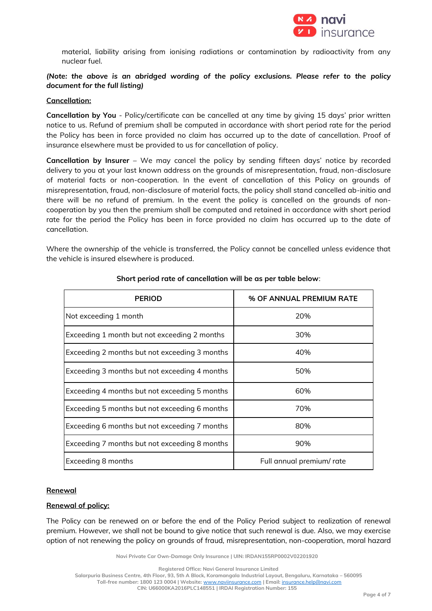

material, liability arising from ionising radiations or contamination by radioactivity from any nuclear fuel.

# *(Note: the above is an abridged wording of the policy exclusions. Please refer to the policy document for the full listing)*

#### **Cancellation:**

**Cancellation by You** - Policy/certificate can be cancelled at any time by giving 15 days' prior written notice to us. Refund of premium shall be computed in accordance with short period rate for the period the Policy has been in force provided no claim has occurred up to the date of cancellation. Proof of insurance elsewhere must be provided to us for cancellation of policy.

**Cancellation by Insurer** – We may cancel the policy by sending fifteen days' notice by recorded delivery to you at your last known address on the grounds of misrepresentation, fraud, non-disclosure of material facts or non-cooperation. In the event of cancellation of this Policy on grounds of misrepresentation, fraud, non-disclosure of material facts, the policy shall stand cancelled ab-initio and there will be no refund of premium. In the event the policy is cancelled on the grounds of noncooperation by you then the premium shall be computed and retained in accordance with short period rate for the period the Policy has been in force provided no claim has occurred up to the date of cancellation.

Where the ownership of the vehicle is transferred, the Policy cannot be cancelled unless evidence that the vehicle is insured elsewhere is produced.

| <b>PERIOD</b>                                 | % OF ANNUAL PREMIUM RATE |
|-----------------------------------------------|--------------------------|
| Not exceeding 1 month                         | 20%                      |
| Exceeding 1 month but not exceeding 2 months  | 30%                      |
| Exceeding 2 months but not exceeding 3 months | 40%                      |
| Exceeding 3 months but not exceeding 4 months | 50%                      |
| Exceeding 4 months but not exceeding 5 months | 60%                      |
| Exceeding 5 months but not exceeding 6 months | 70%                      |
| Exceeding 6 months but not exceeding 7 months | 80%                      |
| Exceeding 7 months but not exceeding 8 months | 90%                      |
| Exceeding 8 months                            | Full annual premium/rate |

## **Short period rate of cancellation will be as per table below**:

#### **Renewal**

### **Renewal of policy:**

The Policy can be renewed on or before the end of the Policy Period subject to realization of renewal premium. However, we shall not be bound to give notice that such renewal is due. Also, we may exercise option of not renewing the policy on grounds of fraud, misrepresentation, non-cooperation, moral hazard

**Navi Private Car Own-Damage Only Insurance | UIN: IRDAN155RP0002V02201920**

**Registered Office: Navi General Insurance Limited**

**Salarpuria Business Centre, 4th Floor, 93, 5th A Block, Koramangala Industrial Layout, Bengaluru, Karnataka – 560095 Toll-free number: 1800 123 0004 | Website:** [www.naviinsurance.com](http://www.naviinsurance.com/) **| Email:** [insurance.help@navi.com](mailto:insurance.help@navi.com)

**CIN: U66000KA2016PLC148551 | IRDAI Registration Number: 155**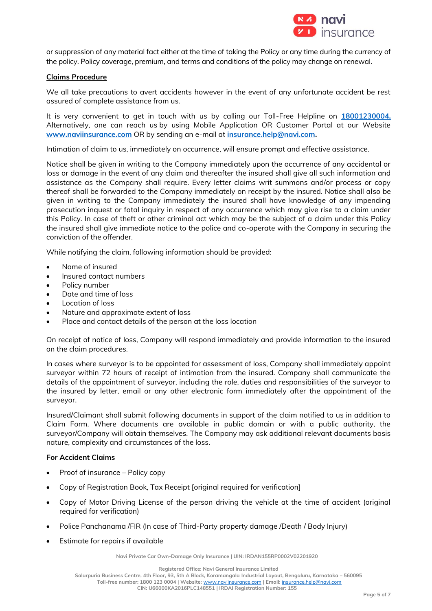

or suppression of any material fact either at the time of taking the Policy or any time during the currency of the policy. Policy coverage, premium, and terms and conditions of the policy may change on renewal.

### **Claims Procedure**

We all take precautions to avert accidents however in the event of any unfortunate accident be rest assured of complete assistance from us.

It is very convenient to get in touch with us by calling our Toll-Free Helpline on **18001230004.** Alternatively, one can reach us by using Mobile Application OR Customer Portal at our Website **[www.naviinsurance.com](http://www.naviinsurance.com/)** OR by sending an e-mail at **[insurance.help@navi.com.](mailto:insurance.help@navi.com)** 

Intimation of claim to us, immediately on occurrence, will ensure prompt and effective assistance.

Notice shall be given in writing to the Company immediately upon the occurrence of any accidental or loss or damage in the event of any claim and thereafter the insured shall give all such information and assistance as the Company shall require. Every letter claims writ summons and/or process or copy thereof shall be forwarded to the Company immediately on receipt by the insured. Notice shall also be given in writing to the Company immediately the insured shall have knowledge of any impending prosecution inquest or fatal inquiry in respect of any occurrence which may give rise to a claim under this Policy. In case of theft or other criminal act which may be the subject of a claim under this Policy the insured shall give immediate notice to the police and co-operate with the Company in securing the conviction of the offender.

While notifying the claim, following information should be provided:

- Name of insured
- Insured contact numbers
- Policy number
- Date and time of loss
- Location of loss
- Nature and approximate extent of loss
- Place and contact details of the person at the loss location

On receipt of notice of loss, Company will respond immediately and provide information to the insured on the claim procedures.

In cases where surveyor is to be appointed for assessment of loss, Company shall immediately appoint surveyor within 72 hours of receipt of intimation from the insured. Company shall communicate the details of the appointment of surveyor, including the role, duties and responsibilities of the surveyor to the insured by letter, email or any other electronic form immediately after the appointment of the surveyor.

Insured/Claimant shall submit following documents in support of the claim notified to us in addition to Claim Form. Where documents are available in public domain or with a public authority, the surveyor/Company will obtain themselves. The Company may ask additional relevant documents basis nature, complexity and circumstances of the loss.

#### **For Accident Claims**

- Proof of insurance Policy copy
- Copy of Registration Book, Tax Receipt [original required for verification]
- Copy of Motor Driving License of the person driving the vehicle at the time of accident (original required for verification)
- Police Panchanama /FIR (In case of Third-Party property damage /Death / Body Injury)
- Estimate for repairs if available

**Navi Private Car Own-Damage Only Insurance | UIN: IRDAN155RP0002V02201920**

**Registered Office: Navi General Insurance Limited**

**Salarpuria Business Centre, 4th Floor, 93, 5th A Block, Koramangala Industrial Layout, Bengaluru, Karnataka – 560095 Toll-free number: 1800 123 0004 | Website:** [www.naviinsurance.com](http://www.naviinsurance.com/) **| Email:** [insurance.help@navi.com](mailto:insurance.help@navi.com) **CIN: U66000KA2016PLC148551 | IRDAI Registration Number: 155**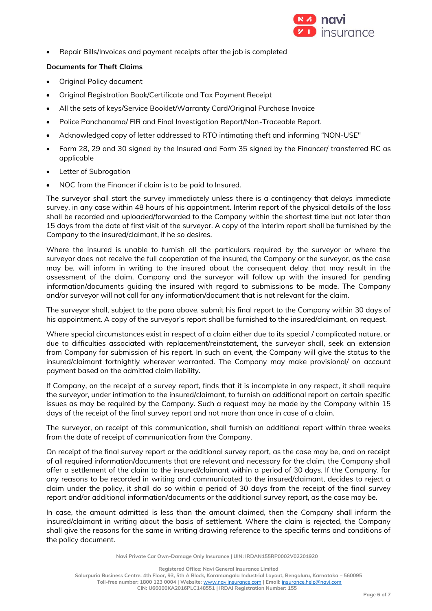

• Repair Bills/Invoices and payment receipts after the job is completed

# **Documents for Theft Claims**

- Original Policy document
- Original Registration Book/Certificate and Tax Payment Receipt
- All the sets of keys/Service Booklet/Warranty Card/Original Purchase Invoice
- Police Panchanama/ FIR and Final Investigation Report/Non-Traceable Report.
- Acknowledged copy of letter addressed to RTO intimating theft and informing "NON-USE"
- Form 28, 29 and 30 signed by the Insured and Form 35 signed by the Financer/ transferred RC as applicable
- Letter of Subrogation
- NOC from the Financer if claim is to be paid to Insured.

The surveyor shall start the survey immediately unless there is a contingency that delays immediate survey, in any case within 48 hours of his appointment. Interim report of the physical details of the loss shall be recorded and uploaded/forwarded to the Company within the shortest time but not later than 15 days from the date of first visit of the surveyor. A copy of the interim report shall be furnished by the Company to the insured/claimant, if he so desires.

Where the insured is unable to furnish all the particulars required by the surveyor or where the surveyor does not receive the full cooperation of the insured, the Company or the surveyor, as the case may be, will inform in writing to the insured about the consequent delay that may result in the assessment of the claim. Company and the surveyor will follow up with the insured for pending information/documents guiding the insured with regard to submissions to be made. The Company and/or surveyor will not call for any information/document that is not relevant for the claim.

The surveyor shall, subject to the para above, submit his final report to the Company within 30 days of his appointment. A copy of the surveyor's report shall be furnished to the insured/claimant, on request.

Where special circumstances exist in respect of a claim either due to its special / complicated nature, or due to difficulties associated with replacement/reinstatement, the surveyor shall, seek an extension from Company for submission of his report. In such an event, the Company will give the status to the insured/claimant fortnightly wherever warranted. The Company may make provisional/ on account payment based on the admitted claim liability.

If Company, on the receipt of a survey report, finds that it is incomplete in any respect, it shall require the surveyor, under intimation to the insured/claimant, to furnish an additional report on certain specific issues as may be required by the Company. Such a request may be made by the Company within 15 days of the receipt of the final survey report and not more than once in case of a claim.

The surveyor, on receipt of this communication, shall furnish an additional report within three weeks from the date of receipt of communication from the Company.

On receipt of the final survey report or the additional survey report, as the case may be, and on receipt of all required information/documents that are relevant and necessary for the claim, the Company shall offer a settlement of the claim to the insured/claimant within a period of 30 days. If the Company, for any reasons to be recorded in writing and communicated to the insured/claimant, decides to reject a claim under the policy, it shall do so within a period of 30 days from the receipt of the final survey report and/or additional information/documents or the additional survey report, as the case may be.

In case, the amount admitted is less than the amount claimed, then the Company shall inform the insured/claimant in writing about the basis of settlement. Where the claim is rejected, the Company shall give the reasons for the same in writing drawing reference to the specific terms and conditions of the policy document.

**Navi Private Car Own-Damage Only Insurance | UIN: IRDAN155RP0002V02201920**

**Registered Office: Navi General Insurance Limited**

**Salarpuria Business Centre, 4th Floor, 93, 5th A Block, Koramangala Industrial Layout, Bengaluru, Karnataka – 560095 Toll-free number: 1800 123 0004 | Website:** [www.naviinsurance.com](http://www.naviinsurance.com/) **| Email:** [insurance.help@navi.com](mailto:insurance.help@navi.com) **CIN: U66000KA2016PLC148551 | IRDAI Registration Number: 155**